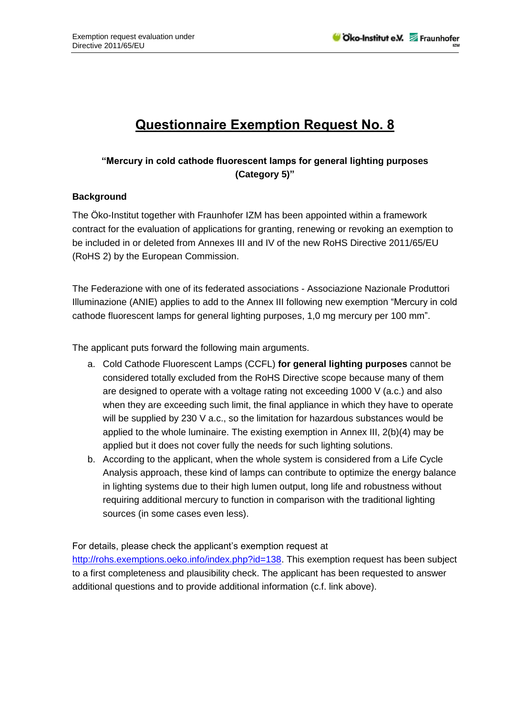## **Questionnaire Exemption Request No. 8**

## **"Mercury in cold cathode fluorescent lamps for general lighting purposes (Category 5)"**

## **Background**

The Öko-Institut together with Fraunhofer IZM has been appointed within a framework contract for the evaluation of applications for granting, renewing or revoking an exemption to be included in or deleted from Annexes III and IV of the new RoHS Directive 2011/65/EU (RoHS 2) by the European Commission.

The Federazione with one of its federated associations - Associazione Nazionale Produttori Illuminazione (ANIE) applies to add to the Annex III following new exemption "Mercury in cold cathode fluorescent lamps for general lighting purposes, 1,0 mg mercury per 100 mm".

The applicant puts forward the following main arguments.

- a. Cold Cathode Fluorescent Lamps (CCFL) **for general lighting purposes** cannot be considered totally excluded from the RoHS Directive scope because many of them are designed to operate with a voltage rating not exceeding 1000 V (a.c.) and also when they are exceeding such limit, the final appliance in which they have to operate will be supplied by 230 V a.c., so the limitation for hazardous substances would be applied to the whole luminaire. The existing exemption in Annex III, 2(b)(4) may be applied but it does not cover fully the needs for such lighting solutions.
- b. According to the applicant, when the whole system is considered from a Life Cycle Analysis approach, these kind of lamps can contribute to optimize the energy balance in lighting systems due to their high lumen output, long life and robustness without requiring additional mercury to function in comparison with the traditional lighting sources (in some cases even less).

For details, please check the applicant's exemption request at

[http://rohs.exemptions.oeko.info/index.php?id=138.](http://rohs.exemptions.oeko.info/index.php?id=138) This exemption request has been subject to a first completeness and plausibility check. The applicant has been requested to answer additional questions and to provide additional information (c.f. link above).